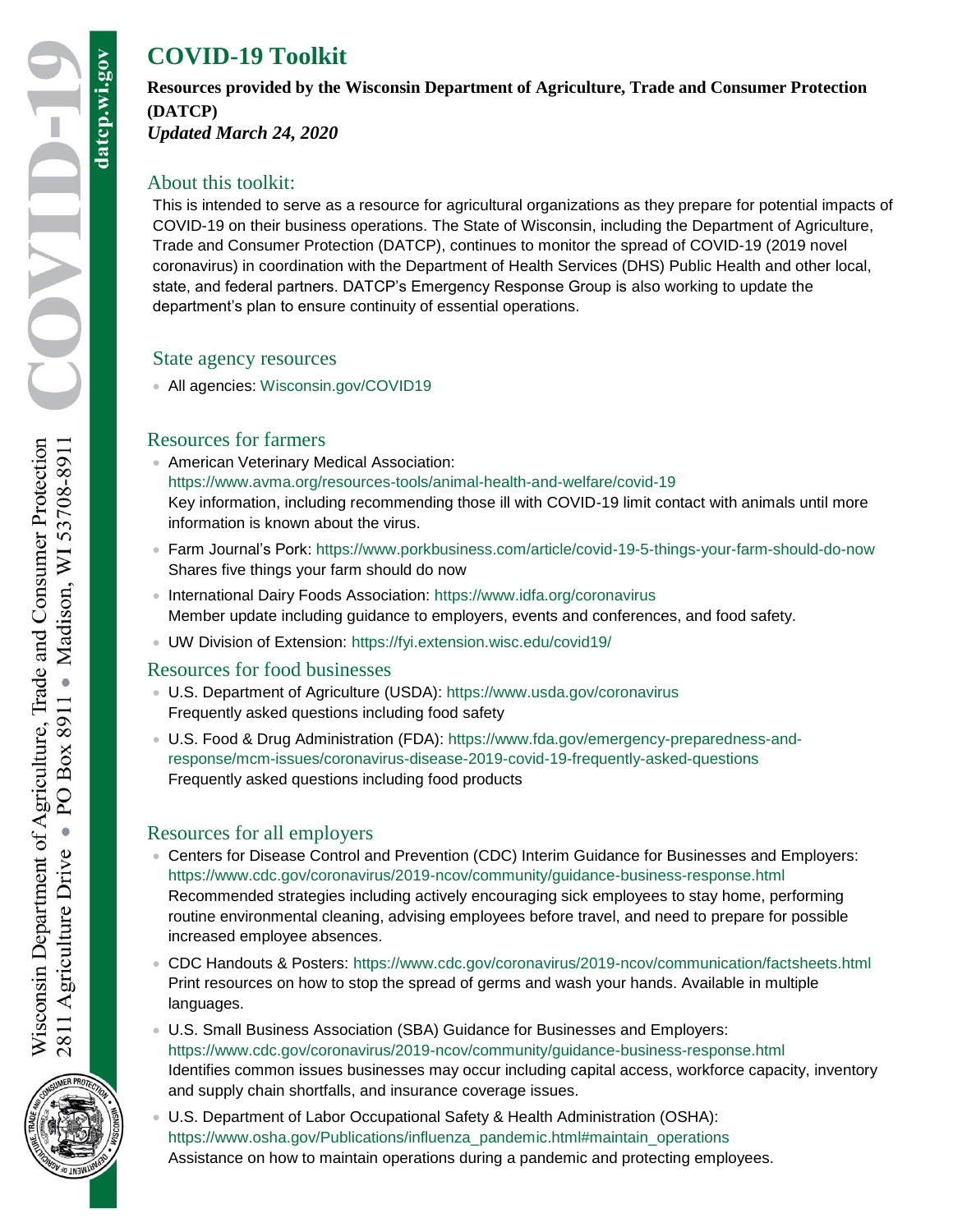datcp.wi.gov

# **COVID-19 Toolkit**

#### **Resources provided by the Wisconsin Department of Agriculture, Trade and Consumer Protection (DATCP)** *Updated March 24, 2020*

## About this toolkit:

This is intended to serve as a resource for agricultural organizations as they prepare for potential impacts of COVID-19 on their business operations. The State of Wisconsin, including the Department of Agriculture, Trade and Consumer Protection (DATCP), continues to monitor the spread of COVID-19 (2019 novel coronavirus) in coordination with the Department of Health Services (DHS) Public Health and other local, state, and federal partners. DATCP's Emergency Response Group is also working to update the department's plan to ensure continuity of essential operations.

#### State agency resources

All agencies: [Wisconsin.gov/COVID19](https://govstatus.egov.com/wi-covid-19)

#### Resources for farmers

- American Veterinary Medical Association: <https://www.avma.org/resources-tools/animal-health-and-welfare/covid-19> Key information, including recommending those ill with COVID-19 limit contact with animals until more information is known about the virus.
- Farm Journal's Pork:<https://www.porkbusiness.com/article/covid-19-5-things-your-farm-should-do-now> Shares five things your farm should do now
- International Dairy Foods Association:<https://www.idfa.org/coronavirus> Member update including guidance to employers, events and conferences, and food safety.
- UW Division of Extension:<https://fyi.extension.wisc.edu/covid19/>

#### Resources for food businesses

- U.S. Department of Agriculture (USDA):<https://www.usda.gov/coronavirus> Frequently asked questions including food safety
- U.S. Food & Drug Administration (FDA): [https://www.fda.gov/emergency-preparedness-and](https://www.fda.gov/emergency-preparedness-and-response/mcm-issues/coronavirus-disease-2019-covid-19-frequently-asked-questions)[response/mcm-issues/coronavirus-disease-2019-covid-19-frequently-asked-questions](https://www.fda.gov/emergency-preparedness-and-response/mcm-issues/coronavirus-disease-2019-covid-19-frequently-asked-questions) Frequently asked questions including food products

# Resources for all employers

- Centers for Disease Control and Prevention (CDC) Interim Guidance for Businesses and Employers: <https://www.cdc.gov/coronavirus/2019-ncov/community/guidance-business-response.html> Recommended strategies including actively encouraging sick employees to stay home, performing routine environmental cleaning, advising employees before travel, and need to prepare for possible increased employee absences.
- CDC Handouts & Posters:<https://www.cdc.gov/coronavirus/2019-ncov/communication/factsheets.html> Print resources on how to stop the spread of germs and wash your hands. Available in multiple languages.
- U.S. Small Business Association (SBA) Guidance for Businesses and Employers: <https://www.cdc.gov/coronavirus/2019-ncov/community/guidance-business-response.html> Identifies common issues businesses may occur including capital access, workforce capacity, inventory and supply chain shortfalls, and insurance coverage issues.
- U.S. Department of Labor Occupational Safety & Health Administration (OSHA): [https://www.osha.gov/Publications/influenza\\_pandemic.html#maintain\\_operations](https://www.osha.gov/Publications/influenza_pandemic.html#maintain_operations) Assistance on how to maintain operations during a pandemic and protecting employees.

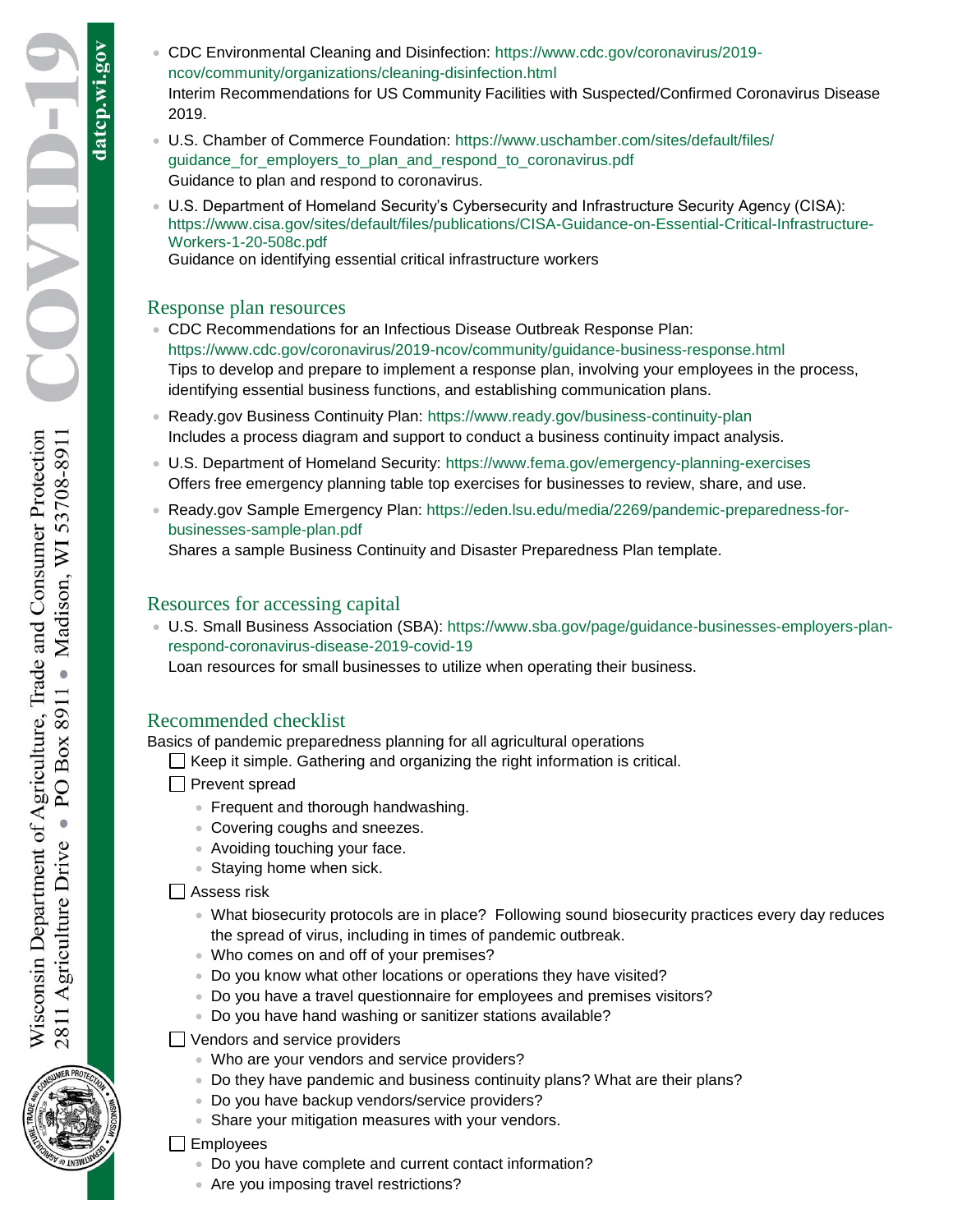datcp.wi.gov

- CDC Environmental Cleaning and Disinfection: [https://www.cdc.gov/coronavirus/2019](https://www.cdc.gov/coronavirus/2019-ncov/community/organizations/cleaning-disinfection.html) [ncov/community/organizations/cleaning-disinfection.html](https://www.cdc.gov/coronavirus/2019-ncov/community/organizations/cleaning-disinfection.html) Interim Recommendations for US Community Facilities with Suspected/Confirmed Coronavirus Disease 2019.
- U.S. Chamber of Commerce Foundation: [https://www.uschamber.com/sites/default/files/](https://www.uschamber.com/sites/default/files/guidance_for_employers_to_plan_and_respond_to_coronavirus.pdf) [guidance\\_for\\_employers\\_to\\_plan\\_and\\_respond\\_to\\_coronavirus.pdf](https://www.uschamber.com/sites/default/files/guidance_for_employers_to_plan_and_respond_to_coronavirus.pdf) Guidance to plan and respond to coronavirus.
- U.S. Department of Homeland Security's Cybersecurity and Infrastructure Security Agency (CISA): [https://www.cisa.gov/sites/default/files/publications/CISA-Guidance-on-Essential-Critical-Infrastructure-](https://www.cisa.gov/sites/default/files/publications/CISA-Guidance-on-Essential-Critical-Infrastructure-Workers-1-20-508c.pdf)[Workers-1-20-508c.pdf](https://www.cisa.gov/sites/default/files/publications/CISA-Guidance-on-Essential-Critical-Infrastructure-Workers-1-20-508c.pdf)

Guidance on identifying essential critical infrastructure workers

## Response plan resources

- CDC Recommendations for an Infectious Disease Outbreak Response Plan: <https://www.cdc.gov/coronavirus/2019-ncov/community/guidance-business-response.html> Tips to develop and prepare to implement a response plan, involving your employees in the process, identifying essential business functions, and establishing communication plans.
- Ready.gov Business Continuity Plan:<https://www.ready.gov/business-continuity-plan> Includes a process diagram and support to conduct a business continuity impact analysis.
- U.S. Department of Homeland Security:<https://www.fema.gov/emergency-planning-exercises> Offers free emergency planning table top exercises for businesses to review, share, and use.
- Ready.gov Sample Emergency Plan: [https://eden.lsu.edu/media/2269/pandemic-preparedness-for](https://eden.lsu.edu/media/2269/pandemic-preparedness-for-businesses-sample-plan.pdf)[businesses-sample-plan.pdf](https://eden.lsu.edu/media/2269/pandemic-preparedness-for-businesses-sample-plan.pdf)

Shares a sample Business Continuity and Disaster Preparedness Plan template.

# Resources for accessing capital

 U.S. Small Business Association (SBA): [https://www.sba.gov/page/guidance-businesses-employers-plan](https://www.sba.gov/page/guidance-businesses-employers-plan-respond-coronavirus-disease-2019-covid-19)[respond-coronavirus-disease-2019-covid-19](https://www.sba.gov/page/guidance-businesses-employers-plan-respond-coronavirus-disease-2019-covid-19)

Loan resources for small businesses to utilize when operating their business.

# Recommended checklist

Basics of pandemic preparedness planning for all agricultural operations

 $\Box$  Keep it simple. Gathering and organizing the right information is critical.

- **Prevent spread** 
	- **Frequent and thorough handwashing.**
	- Covering coughs and sneezes.
	- Avoiding touching your face.
	- **Staying home when sick.**

 $\Box$  Assess risk

- What biosecurity protocols are in place? Following sound biosecurity practices every day reduces the spread of virus, including in times of pandemic outbreak.
- Who comes on and off of your premises?
- Do you know what other locations or operations they have visited?
- Do you have a travel questionnaire for employees and premises visitors?
- Do you have hand washing or sanitizer stations available?
- Vendors and service providers
	- Who are your vendors and service providers?
	- Do they have pandemic and business continuity plans? What are their plans?
	- Do you have backup vendors/service providers?
	- Share your mitigation measures with your vendors.

## $\Box$  Employees

- Do you have complete and current contact information?
- Are you imposing travel restrictions?